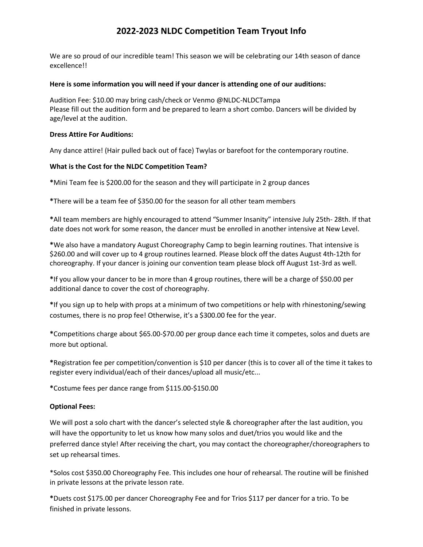# **2022-2023 NLDC Competition Team Tryout Info**

We are so proud of our incredible team! This season we will be celebrating our 14th season of dance excellence!!

## **Here is some information you will need if your dancer is attending one of our auditions:**

Audition Fee: \$10.00 may bring cash/check or Venmo @NLDC-NLDCTampa Please fill out the audition form and be prepared to learn a short combo. Dancers will be divided by age/level at the audition.

## **Dress Attire For Auditions:**

Any dance attire! (Hair pulled back out of face) Twylas or barefoot for the contemporary routine.

## **What is the Cost for the NLDC Competition Team?**

**\***Mini Team fee is \$200.00 for the season and they will participate in 2 group dances

**\***There will be a team fee of \$350.00 for the season for all other team members

**\***All team members are highly encouraged to attend "Summer Insanity" intensive July 25th- 28th. If that date does not work for some reason, the dancer must be enrolled in another intensive at New Level.

**\***We also have a mandatory August Choreography Camp to begin learning routines. That intensive is \$260.00 and will cover up to 4 group routines learned. Please block off the dates August 4th-12th for choreography. If your dancer is joining our convention team please block off August 1st-3rd as well.

**\***If you allow your dancer to be in more than 4 group routines, there will be a charge of \$50.00 per additional dance to cover the cost of choreography.

**\***If you sign up to help with props at a minimum of two competitions or help with rhinestoning/sewing costumes, there is no prop fee! Otherwise, it's a \$300.00 fee for the year.

**\***Competitions charge about \$65.00-\$70.00 per group dance each time it competes, solos and duets are more but optional.

**\***Registration fee per competition/convention is \$10 per dancer (this is to cover all of the time it takes to register every individual/each of their dances/upload all music/etc...

**\***Costume fees per dance range from \$115.00-\$150.00

# **Optional Fees:**

We will post a solo chart with the dancer's selected style & choreographer after the last audition, you will have the opportunity to let us know how many solos and duet/trios you would like and the preferred dance style! After receiving the chart, you may contact the choreographer/choreographers to set up rehearsal times.

\*Solos cost \$350.00 Choreography Fee. This includes one hour of rehearsal. The routine will be finished in private lessons at the private lesson rate.

**\***Duets cost \$175.00 per dancer Choreography Fee and for Trios \$117 per dancer for a trio. To be finished in private lessons.